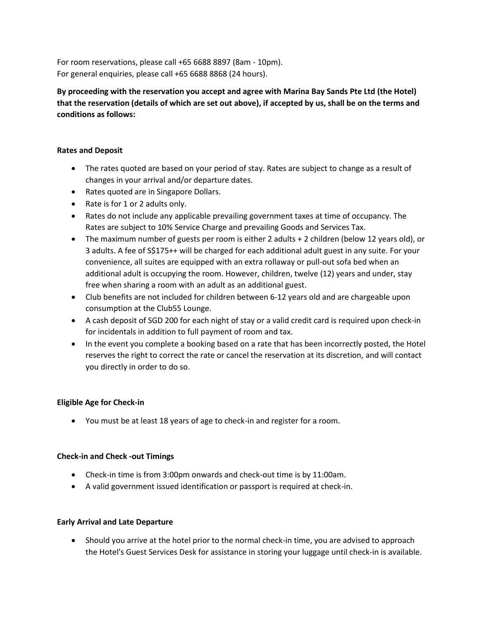For room reservations, please call +65 6688 8897 (8am - 10pm). For general enquiries, please call +65 6688 8868 (24 hours).

**By proceeding with the reservation you accept and agree with Marina Bay Sands Pte Ltd (the Hotel) that the reservation (details of which are set out above), if accepted by us, shall be on the terms and conditions as follows:** 

### **Rates and Deposit**

- The rates quoted are based on your period of stay. Rates are subject to change as a result of changes in your arrival and/or departure dates.
- Rates quoted are in Singapore Dollars.
- Rate is for 1 or 2 adults only.
- Rates do not include any applicable prevailing government taxes at time of occupancy. The Rates are subject to 10% Service Charge and prevailing Goods and Services Tax.
- The maximum number of guests per room is either 2 adults + 2 children (below 12 years old), or 3 adults. A fee of S\$175++ will be charged for each additional adult guest in any suite. For your convenience, all suites are equipped with an extra rollaway or pull-out sofa bed when an additional adult is occupying the room. However, children, twelve (12) years and under, stay free when sharing a room with an adult as an additional guest.
- Club benefits are not included for children between 6-12 years old and are chargeable upon consumption at the Club55 Lounge.
- A cash deposit of SGD 200 for each night of stay or a valid credit card is required upon check-in for incidentals in addition to full payment of room and tax.
- In the event you complete a booking based on a rate that has been incorrectly posted, the Hotel reserves the right to correct the rate or cancel the reservation at its discretion, and will contact you directly in order to do so.

# **Eligible Age for Check-in**

You must be at least 18 years of age to check-in and register for a room.

#### **Check-in and Check -out Timings**

- Check-in time is from 3:00pm onwards and check-out time is by 11:00am.
- A valid government issued identification or passport is required at check-in.

#### **Early Arrival and Late Departure**

 Should you arrive at the hotel prior to the normal check-in time, you are advised to approach the Hotel's Guest Services Desk for assistance in storing your luggage until check-in is available.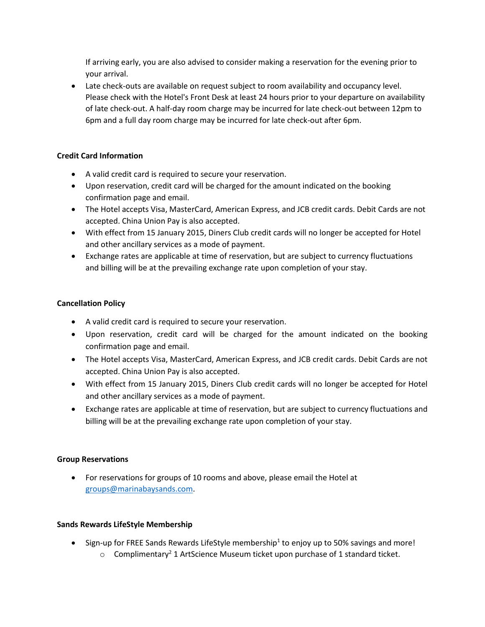If arriving early, you are also advised to consider making a reservation for the evening prior to your arrival.

 Late check-outs are available on request subject to room availability and occupancy level. Please check with the Hotel's Front Desk at least 24 hours prior to your departure on availability of late check-out. A half-day room charge may be incurred for late check-out between 12pm to 6pm and a full day room charge may be incurred for late check-out after 6pm.

# **Credit Card Information**

- A valid credit card is required to secure your reservation.
- Upon reservation, credit card will be charged for the amount indicated on the booking confirmation page and email.
- The Hotel accepts Visa, MasterCard, American Express, and JCB credit cards. Debit Cards are not accepted. China Union Pay is also accepted.
- With effect from 15 January 2015, Diners Club credit cards will no longer be accepted for Hotel and other ancillary services as a mode of payment.
- Exchange rates are applicable at time of reservation, but are subject to currency fluctuations and billing will be at the prevailing exchange rate upon completion of your stay.

#### **Cancellation Policy**

- A valid credit card is required to secure your reservation.
- Upon reservation, credit card will be charged for the amount indicated on the booking confirmation page and email.
- The Hotel accepts Visa, MasterCard, American Express, and JCB credit cards. Debit Cards are not accepted. China Union Pay is also accepted.
- With effect from 15 January 2015, Diners Club credit cards will no longer be accepted for Hotel and other ancillary services as a mode of payment.
- Exchange rates are applicable at time of reservation, but are subject to currency fluctuations and billing will be at the prevailing exchange rate upon completion of your stay.

#### **Group Reservations**

 For reservations for groups of 10 rooms and above, please email the Hotel at [groups@marinabaysands.com.](mailto:groups@marinabaysands.com)

# **Sands Rewards LifeStyle Membership**

- $\bullet$  Sign-up for FREE Sands Rewards LifeStyle membership<sup>1</sup> to enjoy up to 50% savings and more!
	- $\circ$  Complimentary<sup>2</sup> 1 ArtScience Museum ticket upon purchase of 1 standard ticket.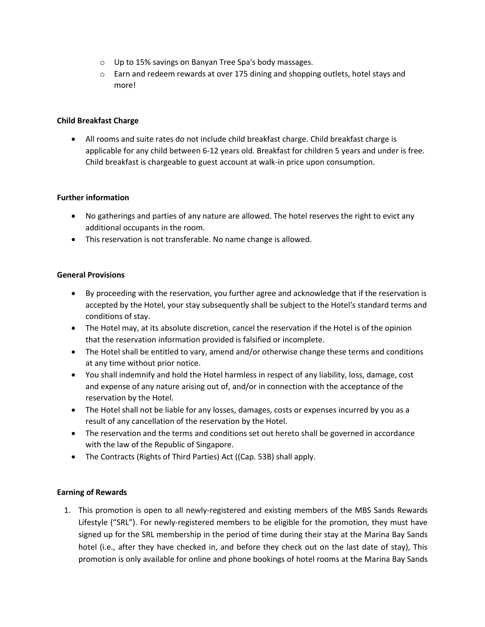- o Up to 15% savings on Banyan Tree Spa's body massages.
- o Earn and redeem rewards at over 175 dining and shopping outlets, hotel stays and more!

### **Child Breakfast Charge**

 All rooms and suite rates do not include child breakfast charge. Child breakfast charge is applicable for any child between 6-12 years old. Breakfast for children 5 years and under is free. Child breakfast is chargeable to guest account at walk-in price upon consumption.

### **Further information**

- No gatherings and parties of any nature are allowed. The hotel reserves the right to evict any additional occupants in the room.
- This reservation is not transferable. No name change is allowed.

### **General Provisions**

- By proceeding with the reservation, you further agree and acknowledge that if the reservation is accepted by the Hotel, your stay subsequently shall be subject to the Hotel's standard terms and conditions of stay.
- The Hotel may, at its absolute discretion, cancel the reservation if the Hotel is of the opinion that the reservation information provided is falsified or incomplete.
- The Hotel shall be entitled to vary, amend and/or otherwise change these terms and conditions at any time without prior notice.
- You shall indemnify and hold the Hotel harmless in respect of any liability, loss, damage, cost and expense of any nature arising out of, and/or in connection with the acceptance of the reservation by the Hotel.
- The Hotel shall not be liable for any losses, damages, costs or expenses incurred by you as a result of any cancellation of the reservation by the Hotel.
- The reservation and the terms and conditions set out hereto shall be governed in accordance with the law of the Republic of Singapore.
- The Contracts (Rights of Third Parties) Act ((Cap. 53B) shall apply.

# **Earning of Rewards**

1. This promotion is open to all newly-registered and existing members of the MBS Sands Rewards Lifestyle ("SRL"). For newly-registered members to be eligible for the promotion, they must have signed up for the SRL membership in the period of time during their stay at the Marina Bay Sands hotel (i.e., after they have checked in, and before they check out on the last date of stay), This promotion is only available for online and phone bookings of hotel rooms at the Marina Bay Sands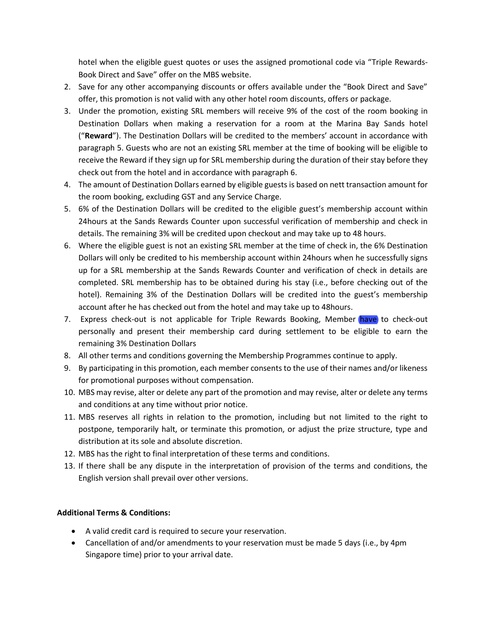hotel when the eligible guest quotes or uses the assigned promotional code via "Triple Rewards-Book Direct and Save" offer on the MBS website.

- 2. Save for any other accompanying discounts or offers available under the "Book Direct and Save" offer, this promotion is not valid with any other hotel room discounts, offers or package.
- 3. Under the promotion, existing SRL members will receive 9% of the cost of the room booking in Destination Dollars when making a reservation for a room at the Marina Bay Sands hotel ("**Reward**"). The Destination Dollars will be credited to the members' account in accordance with paragraph 5. Guests who are not an existing SRL member at the time of booking will be eligible to receive the Reward if they sign up for SRL membership during the duration of their stay before they check out from the hotel and in accordance with paragraph 6.
- 4. The amount of Destination Dollars earned by eligible guests is based on nett transaction amount for the room booking, excluding GST and any Service Charge.
- 5. 6% of the Destination Dollars will be credited to the eligible guest's membership account within 24hours at the Sands Rewards Counter upon successful verification of membership and check in details. The remaining 3% will be credited upon checkout and may take up to 48 hours.
- 6. Where the eligible guest is not an existing SRL member at the time of check in, the 6% Destination Dollars will only be credited to his membership account within 24hours when he successfully signs up for a SRL membership at the Sands Rewards Counter and verification of check in details are completed. SRL membership has to be obtained during his stay (i.e., before checking out of the hotel). Remaining 3% of the Destination Dollars will be credited into the guest's membership account after he has checked out from the hotel and may take up to 48hours.
- 7. Express check-out is not applicable for Triple Rewards Booking, Member have to check-out personally and present their membership card during settlement to be eligible to earn the remaining 3% Destination Dollars
- 8. All other terms and conditions governing the Membership Programmes continue to apply.
- 9. By participating in this promotion, each member consents to the use of their names and/or likeness for promotional purposes without compensation.
- 10. MBS may revise, alter or delete any part of the promotion and may revise, alter or delete any terms and conditions at any time without prior notice.
- 11. MBS reserves all rights in relation to the promotion, including but not limited to the right to postpone, temporarily halt, or terminate this promotion, or adjust the prize structure, type and distribution at its sole and absolute discretion.
- 12. MBS has the right to final interpretation of these terms and conditions.
- 13. If there shall be any dispute in the interpretation of provision of the terms and conditions, the English version shall prevail over other versions.

# **Additional Terms & Conditions:**

- A valid credit card is required to secure your reservation.
- Cancellation of and/or amendments to your reservation must be made 5 days (i.e., by 4pm Singapore time) prior to your arrival date.